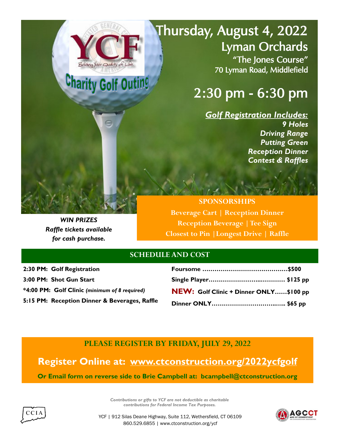## Thursday, August 4, 2022 Lyman Orchards "The Jones Course" 70 Lyman Road, Middlefield

## 2:30 pm - 6:30 pm

*Golf Registration Includes: 9 Holes Driving Range Putting Green Reception Dinner Contest & Raffles*

*WIN PRIZES Raffle tickets available for cash purchase.*

**SPONSORSHIPS Beverage Cart | Reception Dinner Reception Beverage | Tee Sign Closest to Pin |Longest Drive | Raffle**

## **SCHEDULE AND COST**

*\**

**Charity Golf Outin!** 

**2:30 PM: Golf Registration 3:00 PM: Shot Gun Start \*4:00 PM: Golf Clinic** *(minimum of 8 required)* **5:15 PM: Reception Dinner & Beverages, Raffle**

| NEW: Golf Clinic + Dinner ONLY\$100 pp |  |
|----------------------------------------|--|
|                                        |  |
|                                        |  |

**PLEASE REGISTER BY FRIDAY, JULY 29, 2022**

**Register Online at: [www.ctconstruction.org/2022ycfgolf](http://www.ctconstruction.org/2022ycfgolf) Or Email form on reverse side to Brie Campbell at: bcampbell@ctconstruction.org** 



*Contributions or gifts to YCF are not deductible as charitable contributions for Federal Income Tax Purposes.*



YCF | 912 Silas Deane Highway, Suite 112, Wethersfield, CT 06109 860.529.6855 | www.ctconstruction.org/ycf